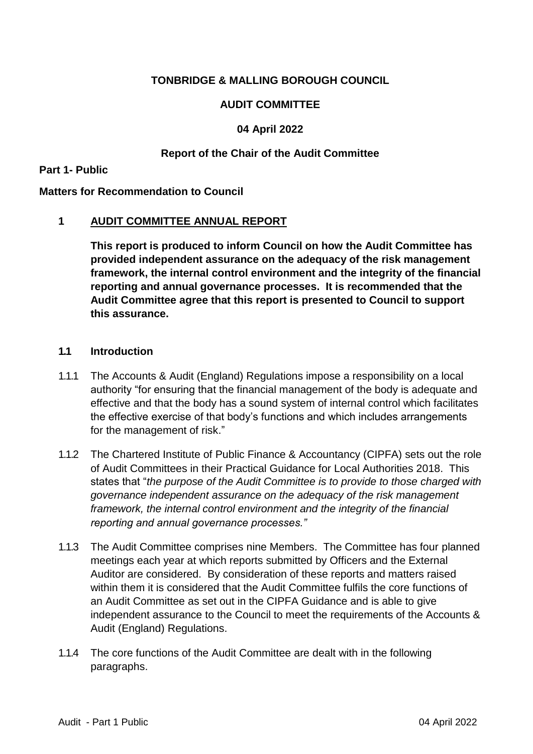## **TONBRIDGE & MALLING BOROUGH COUNCIL**

## **AUDIT COMMITTEE**

## **04 April 2022**

## **Report of the Chair of the Audit Committee**

#### **Part 1- Public**

#### **Matters for Recommendation to Council**

### **1 AUDIT COMMITTEE ANNUAL REPORT**

**This report is produced to inform Council on how the Audit Committee has provided independent assurance on the adequacy of the risk management framework, the internal control environment and the integrity of the financial reporting and annual governance processes. It is recommended that the Audit Committee agree that this report is presented to Council to support this assurance.**

### **1.1 Introduction**

- 1.1.1 The Accounts & Audit (England) Regulations impose a responsibility on a local authority "for ensuring that the financial management of the body is adequate and effective and that the body has a sound system of internal control which facilitates the effective exercise of that body's functions and which includes arrangements for the management of risk."
- 1.1.2 The Chartered Institute of Public Finance & Accountancy (CIPFA) sets out the role of Audit Committees in their Practical Guidance for Local Authorities 2018. This states that "*the purpose of the Audit Committee is to provide to those charged with governance independent assurance on the adequacy of the risk management framework, the internal control environment and the integrity of the financial reporting and annual governance processes."*
- 1.1.3 The Audit Committee comprises nine Members. The Committee has four planned meetings each year at which reports submitted by Officers and the External Auditor are considered. By consideration of these reports and matters raised within them it is considered that the Audit Committee fulfils the core functions of an Audit Committee as set out in the CIPFA Guidance and is able to give independent assurance to the Council to meet the requirements of the Accounts & Audit (England) Regulations.
- 1.1.4 The core functions of the Audit Committee are dealt with in the following paragraphs.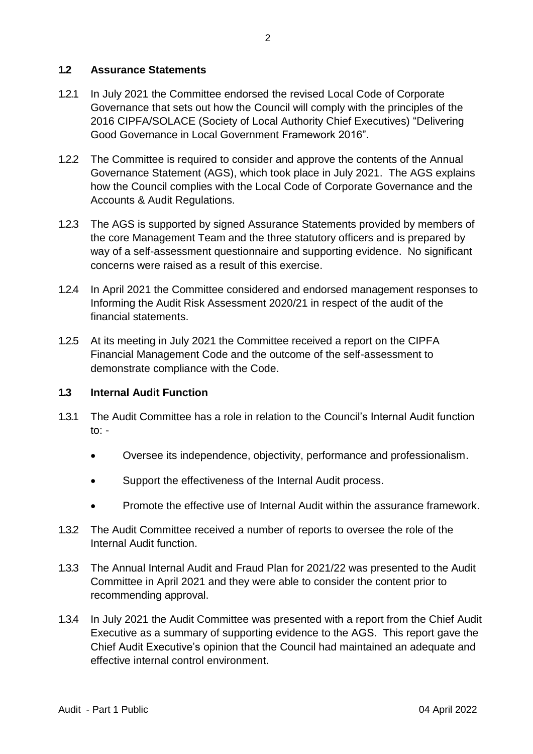## **1.2 Assurance Statements**

- 1.2.1 In July 2021 the Committee endorsed the revised Local Code of Corporate Governance that sets out how the Council will comply with the principles of the 2016 CIPFA/SOLACE (Society of Local Authority Chief Executives) "Delivering Good Governance in Local Government Framework 2016".
- 1.2.2 The Committee is required to consider and approve the contents of the Annual Governance Statement (AGS), which took place in July 2021. The AGS explains how the Council complies with the Local Code of Corporate Governance and the Accounts & Audit Regulations.
- 1.2.3 The AGS is supported by signed Assurance Statements provided by members of the core Management Team and the three statutory officers and is prepared by way of a self-assessment questionnaire and supporting evidence. No significant concerns were raised as a result of this exercise.
- 1.2.4 In April 2021 the Committee considered and endorsed management responses to Informing the Audit Risk Assessment 2020/21 in respect of the audit of the financial statements.
- 1.2.5 At its meeting in July 2021 the Committee received a report on the CIPFA Financial Management Code and the outcome of the self-assessment to demonstrate compliance with the Code.

### **1.3 Internal Audit Function**

- 1.3.1 The Audit Committee has a role in relation to the Council's Internal Audit function to:  $-$ 
	- Oversee its independence, objectivity, performance and professionalism.
	- Support the effectiveness of the Internal Audit process.
	- Promote the effective use of Internal Audit within the assurance framework.
- 1.3.2 The Audit Committee received a number of reports to oversee the role of the Internal Audit function.
- 1.3.3 The Annual Internal Audit and Fraud Plan for 2021/22 was presented to the Audit Committee in April 2021 and they were able to consider the content prior to recommending approval.
- 1.3.4 In July 2021 the Audit Committee was presented with a report from the Chief Audit Executive as a summary of supporting evidence to the AGS. This report gave the Chief Audit Executive's opinion that the Council had maintained an adequate and effective internal control environment.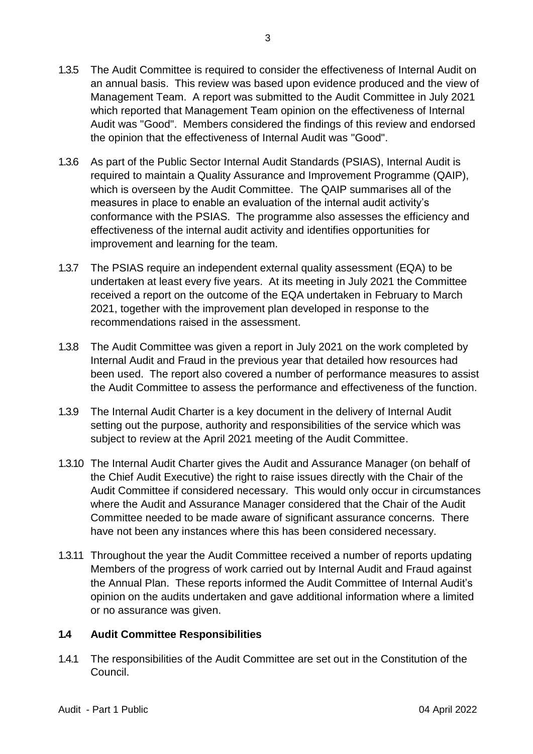- 1.3.5 The Audit Committee is required to consider the effectiveness of Internal Audit on an annual basis. This review was based upon evidence produced and the view of Management Team. A report was submitted to the Audit Committee in July 2021 which reported that Management Team opinion on the effectiveness of Internal Audit was "Good". Members considered the findings of this review and endorsed the opinion that the effectiveness of Internal Audit was "Good".
- 1.3.6 As part of the Public Sector Internal Audit Standards (PSIAS), Internal Audit is required to maintain a Quality Assurance and Improvement Programme (QAIP), which is overseen by the Audit Committee. The QAIP summarises all of the measures in place to enable an evaluation of the internal audit activity's conformance with the PSIAS. The programme also assesses the efficiency and effectiveness of the internal audit activity and identifies opportunities for improvement and learning for the team.
- 1.3.7 The PSIAS require an independent external quality assessment (EQA) to be undertaken at least every five years. At its meeting in July 2021 the Committee received a report on the outcome of the EQA undertaken in February to March 2021, together with the improvement plan developed in response to the recommendations raised in the assessment.
- 1.3.8 The Audit Committee was given a report in July 2021 on the work completed by Internal Audit and Fraud in the previous year that detailed how resources had been used. The report also covered a number of performance measures to assist the Audit Committee to assess the performance and effectiveness of the function.
- 1.3.9 The Internal Audit Charter is a key document in the delivery of Internal Audit setting out the purpose, authority and responsibilities of the service which was subject to review at the April 2021 meeting of the Audit Committee.
- 1.3.10 The Internal Audit Charter gives the Audit and Assurance Manager (on behalf of the Chief Audit Executive) the right to raise issues directly with the Chair of the Audit Committee if considered necessary. This would only occur in circumstances where the Audit and Assurance Manager considered that the Chair of the Audit Committee needed to be made aware of significant assurance concerns. There have not been any instances where this has been considered necessary.
- 1.3.11 Throughout the year the Audit Committee received a number of reports updating Members of the progress of work carried out by Internal Audit and Fraud against the Annual Plan. These reports informed the Audit Committee of Internal Audit's opinion on the audits undertaken and gave additional information where a limited or no assurance was given.

# **1.4 Audit Committee Responsibilities**

1.4.1 The responsibilities of the Audit Committee are set out in the Constitution of the Council.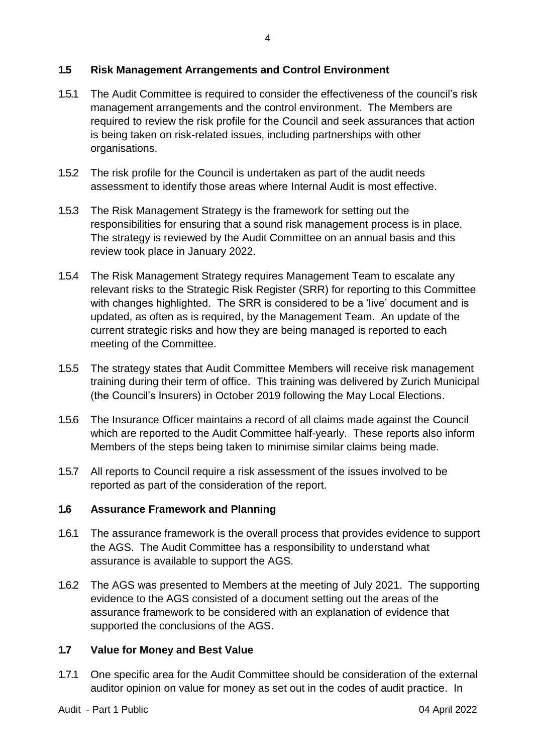## **1.5 Risk Management Arrangements and Control Environment**

- 1.5.1 The Audit Committee is required to consider the effectiveness of the council's risk management arrangements and the control environment. The Members are required to review the risk profile for the Council and seek assurances that action is being taken on risk-related issues, including partnerships with other organisations.
- 1.5.2 The risk profile for the Council is undertaken as part of the audit needs assessment to identify those areas where Internal Audit is most effective.
- 1.5.3 The Risk Management Strategy is the framework for setting out the responsibilities for ensuring that a sound risk management process is in place. The strategy is reviewed by the Audit Committee on an annual basis and this review took place in January 2022.
- 1.5.4 The Risk Management Strategy requires Management Team to escalate any relevant risks to the Strategic Risk Register (SRR) for reporting to this Committee with changes highlighted. The SRR is considered to be a 'live' document and is updated, as often as is required, by the Management Team. An update of the current strategic risks and how they are being managed is reported to each meeting of the Committee.
- 1.5.5 The strategy states that Audit Committee Members will receive risk management training during their term of office. This training was delivered by Zurich Municipal (the Council's Insurers) in October 2019 following the May Local Elections.
- 1.5.6 The Insurance Officer maintains a record of all claims made against the Council which are reported to the Audit Committee half-yearly. These reports also inform Members of the steps being taken to minimise similar claims being made.
- 1.5.7 All reports to Council require a risk assessment of the issues involved to be reported as part of the consideration of the report.

# **1.6 Assurance Framework and Planning**

- 1.6.1 The assurance framework is the overall process that provides evidence to support the AGS. The Audit Committee has a responsibility to understand what assurance is available to support the AGS.
- 1.6.2 The AGS was presented to Members at the meeting of July 2021. The supporting evidence to the AGS consisted of a document setting out the areas of the assurance framework to be considered with an explanation of evidence that supported the conclusions of the AGS.

## **1.7 Value for Money and Best Value**

1.7.1 One specific area for the Audit Committee should be consideration of the external auditor opinion on value for money as set out in the codes of audit practice. In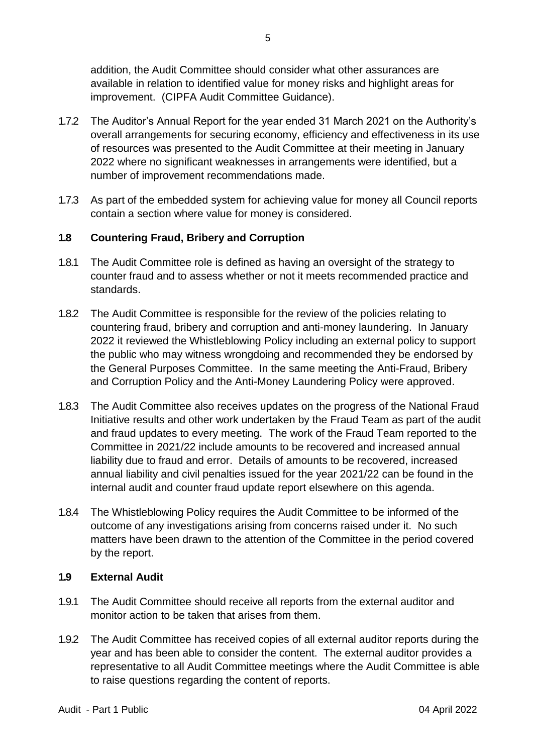addition, the Audit Committee should consider what other assurances are available in relation to identified value for money risks and highlight areas for improvement. (CIPFA Audit Committee Guidance).

- 1.7.2 The Auditor's Annual Report for the year ended 31 March 2021 on the Authority's overall arrangements for securing economy, efficiency and effectiveness in its use of resources was presented to the Audit Committee at their meeting in January 2022 where no significant weaknesses in arrangements were identified, but a number of improvement recommendations made.
- 1.7.3 As part of the embedded system for achieving value for money all Council reports contain a section where value for money is considered.

## **1.8 Countering Fraud, Bribery and Corruption**

- 1.8.1 The Audit Committee role is defined as having an oversight of the strategy to counter fraud and to assess whether or not it meets recommended practice and standards.
- 1.8.2 The Audit Committee is responsible for the review of the policies relating to countering fraud, bribery and corruption and anti-money laundering. In January 2022 it reviewed the Whistleblowing Policy including an external policy to support the public who may witness wrongdoing and recommended they be endorsed by the General Purposes Committee. In the same meeting the Anti-Fraud, Bribery and Corruption Policy and the Anti-Money Laundering Policy were approved.
- 1.8.3 The Audit Committee also receives updates on the progress of the National Fraud Initiative results and other work undertaken by the Fraud Team as part of the audit and fraud updates to every meeting. The work of the Fraud Team reported to the Committee in 2021/22 include amounts to be recovered and increased annual liability due to fraud and error. Details of amounts to be recovered, increased annual liability and civil penalties issued for the year 2021/22 can be found in the internal audit and counter fraud update report elsewhere on this agenda.
- 1.8.4 The Whistleblowing Policy requires the Audit Committee to be informed of the outcome of any investigations arising from concerns raised under it. No such matters have been drawn to the attention of the Committee in the period covered by the report.

## **1.9 External Audit**

- 1.9.1 The Audit Committee should receive all reports from the external auditor and monitor action to be taken that arises from them.
- 1.9.2 The Audit Committee has received copies of all external auditor reports during the year and has been able to consider the content. The external auditor provides a representative to all Audit Committee meetings where the Audit Committee is able to raise questions regarding the content of reports.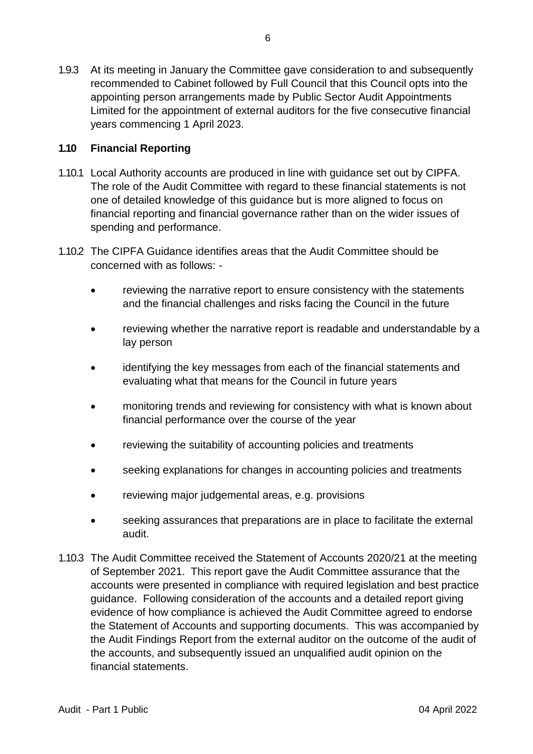1.9.3 At its meeting in January the Committee gave consideration to and subsequently recommended to Cabinet followed by Full Council that this Council opts into the appointing person arrangements made by Public Sector Audit Appointments Limited for the appointment of external auditors for the five consecutive financial years commencing 1 April 2023.

## **1.10 Financial Reporting**

- 1.10.1 Local Authority accounts are produced in line with guidance set out by CIPFA. The role of the Audit Committee with regard to these financial statements is not one of detailed knowledge of this guidance but is more aligned to focus on financial reporting and financial governance rather than on the wider issues of spending and performance.
- 1.10.2 The CIPFA Guidance identifies areas that the Audit Committee should be concerned with as follows:
	- reviewing the narrative report to ensure consistency with the statements and the financial challenges and risks facing the Council in the future
	- reviewing whether the narrative report is readable and understandable by a lay person
	- identifying the key messages from each of the financial statements and evaluating what that means for the Council in future years
	- monitoring trends and reviewing for consistency with what is known about financial performance over the course of the year
	- reviewing the suitability of accounting policies and treatments
	- seeking explanations for changes in accounting policies and treatments
	- reviewing major judgemental areas, e.g. provisions
	- seeking assurances that preparations are in place to facilitate the external audit.
- 1.10.3 The Audit Committee received the Statement of Accounts 2020/21 at the meeting of September 2021. This report gave the Audit Committee assurance that the accounts were presented in compliance with required legislation and best practice guidance. Following consideration of the accounts and a detailed report giving evidence of how compliance is achieved the Audit Committee agreed to endorse the Statement of Accounts and supporting documents. This was accompanied by the Audit Findings Report from the external auditor on the outcome of the audit of the accounts, and subsequently issued an unqualified audit opinion on the financial statements.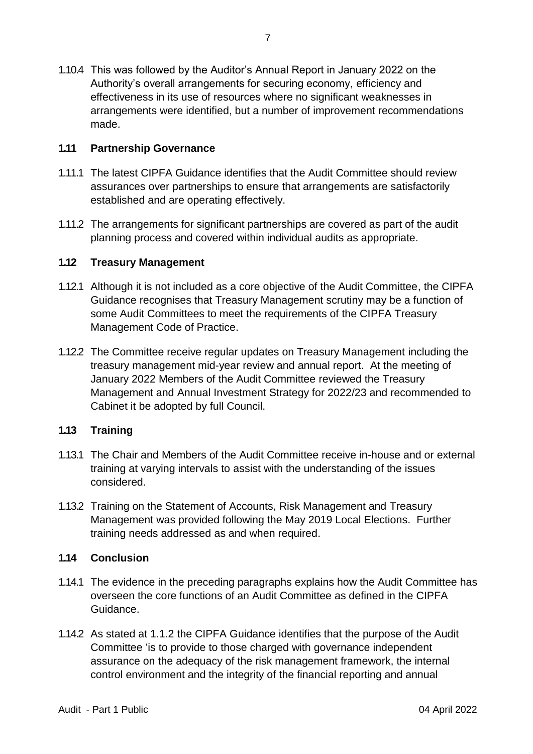1.10.4 This was followed by the Auditor's Annual Report in January 2022 on the Authority's overall arrangements for securing economy, efficiency and effectiveness in its use of resources where no significant weaknesses in arrangements were identified, but a number of improvement recommendations made.

## **1.11 Partnership Governance**

- 1.11.1 The latest CIPFA Guidance identifies that the Audit Committee should review assurances over partnerships to ensure that arrangements are satisfactorily established and are operating effectively.
- 1.11.2 The arrangements for significant partnerships are covered as part of the audit planning process and covered within individual audits as appropriate.

## **1.12 Treasury Management**

- 1.12.1 Although it is not included as a core objective of the Audit Committee, the CIPFA Guidance recognises that Treasury Management scrutiny may be a function of some Audit Committees to meet the requirements of the CIPFA Treasury Management Code of Practice.
- 1.12.2 The Committee receive regular updates on Treasury Management including the treasury management mid-year review and annual report. At the meeting of January 2022 Members of the Audit Committee reviewed the Treasury Management and Annual Investment Strategy for 2022/23 and recommended to Cabinet it be adopted by full Council.

## **1.13 Training**

- 1.13.1 The Chair and Members of the Audit Committee receive in-house and or external training at varying intervals to assist with the understanding of the issues considered.
- 1.13.2 Training on the Statement of Accounts, Risk Management and Treasury Management was provided following the May 2019 Local Elections. Further training needs addressed as and when required.

## **1.14 Conclusion**

- 1.14.1 The evidence in the preceding paragraphs explains how the Audit Committee has overseen the core functions of an Audit Committee as defined in the CIPFA Guidance.
- 1.14.2 As stated at 1.1.2 the CIPFA Guidance identifies that the purpose of the Audit Committee 'is to provide to those charged with governance independent assurance on the adequacy of the risk management framework, the internal control environment and the integrity of the financial reporting and annual